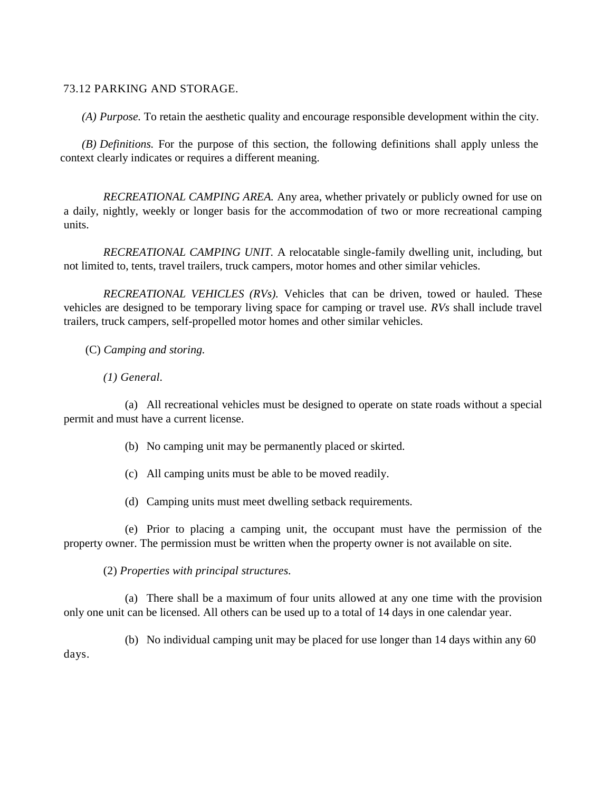## 73.12 PARKING AND STORAGE.

*(A) Purpose.* To retain the aesthetic quality and encourage responsible development within the city.

*(B) Definitions.* For the purpose of this section, the following definitions shall apply unless the context clearly indicates or requires a different meaning.

*RECREATIONAL CAMPING AREA.* Any area, whether privately or publicly owned for use on a daily, nightly, weekly or longer basis for the accommodation of two or more recreational camping units.

*RECREATIONAL CAMPING UNIT.* A relocatable single-family dwelling unit, including, but not limited to, tents, travel trailers, truck campers, motor homes and other similar vehicles.

*RECREATIONAL VEHICLES (RVs).* Vehicles that can be driven, towed or hauled. These vehicles are designed to be temporary living space for camping or travel use. *RVs* shall include travel trailers, truck campers, self-propelled motor homes and other similar vehicles.

(C) *Camping and storing.*

*(1) General.*

(a) All recreational vehicles must be designed to operate on state roads without a special permit and must have a current license.

- (b) No camping unit may be permanently placed or skirted.
- (c) All camping units must be able to be moved readily.
- (d) Camping units must meet dwelling setback requirements.

(e) Prior to placing a camping unit, the occupant must have the permission of the property owner. The permission must be written when the property owner is not available on site.

(2) *Properties with principal structures.*

(a) There shall be a maximum of four units allowed at any one time with the provision only one unit can be licensed. All others can be used up to a total of 14 days in one calendar year.

(b) No individual camping unit may be placed for use longer than 14 days within any 60 days.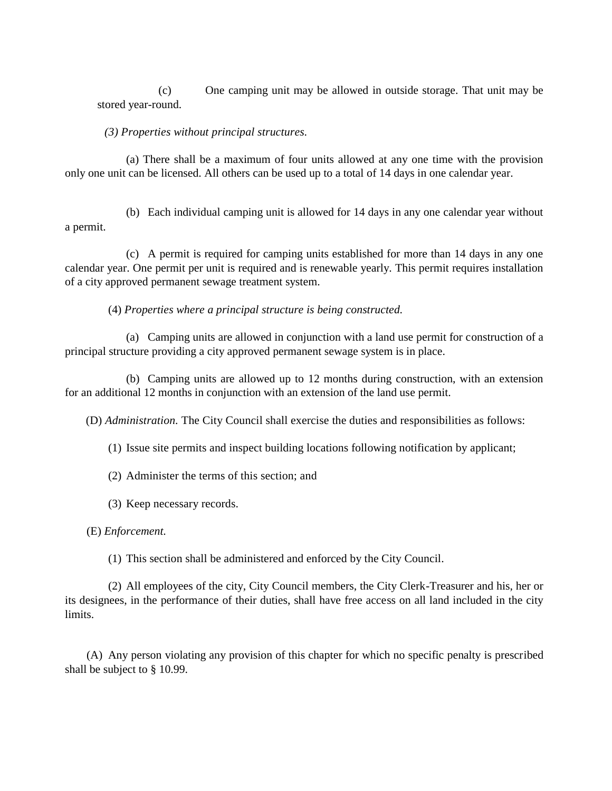(c) One camping unit may be allowed in outside storage. That unit may be stored year-round.

## *(3) Properties without principal structures.*

(a) There shall be a maximum of four units allowed at any one time with the provision only one unit can be licensed. All others can be used up to a total of 14 days in one calendar year.

(b) Each individual camping unit is allowed for 14 days in any one calendar year without a permit.

(c) A permit is required for camping units established for more than 14 days in any one calendar year. One permit per unit is required and is renewable yearly. This permit requires installation of a city approved permanent sewage treatment system.

(4) *Properties where a principal structure is being constructed.*

(a) Camping units are allowed in conjunction with a land use permit for construction of a principal structure providing a city approved permanent sewage system is in place.

(b) Camping units are allowed up to 12 months during construction, with an extension for an additional 12 months in conjunction with an extension of the land use permit.

(D) *Administration.* The City Council shall exercise the duties and responsibilities as follows:

(1) Issue site permits and inspect building locations following notification by applicant;

(2) Administer the terms of this section; and

(3) Keep necessary records.

(E) *Enforcement.*

(1) This section shall be administered and enforced by the City Council.

(2) All employees of the city, City Council members, the City Clerk-Treasurer and his, her or its designees, in the performance of their duties, shall have free access on all land included in the city limits.

(A) Any person violating any provision of this chapter for which no specific penalty is prescribed shall be subject to § 10.99.